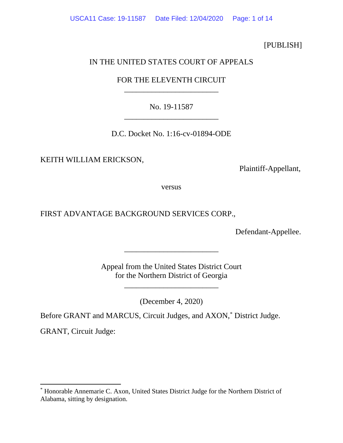[PUBLISH]

## IN THE UNITED STATES COURT OF APPEALS

# FOR THE ELEVENTH CIRCUIT \_\_\_\_\_\_\_\_\_\_\_\_\_\_\_\_\_\_\_\_\_\_\_\_

No. 19-11587 \_\_\_\_\_\_\_\_\_\_\_\_\_\_\_\_\_\_\_\_\_\_\_\_

D.C. Docket No. 1:16-cv-01894-ODE

KEITH WILLIAM ERICKSON,

Plaintiff-Appellant,

versus

FIRST ADVANTAGE BACKGROUND SERVICES CORP.,

Defendant-Appellee.

Appeal from the United States District Court for the Northern District of Georgia

\_\_\_\_\_\_\_\_\_\_\_\_\_\_\_\_\_\_\_\_\_\_\_\_

\_\_\_\_\_\_\_\_\_\_\_\_\_\_\_\_\_\_\_\_\_\_\_\_

(December 4, 2020)

Before GRANT and MARCUS, Circuit Judges, and AXON, [\\*](#page-0-0) District Judge.

GRANT, Circuit Judge:

<span id="page-0-0"></span><sup>\*</sup> Honorable Annemarie C. Axon, United States District Judge for the Northern District of Alabama, sitting by designation.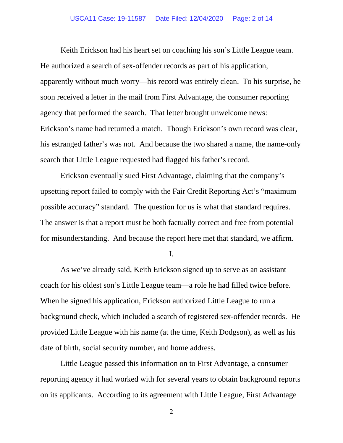Keith Erickson had his heart set on coaching his son's Little League team. He authorized a search of sex-offender records as part of his application, apparently without much worry—his record was entirely clean. To his surprise, he soon received a letter in the mail from First Advantage, the consumer reporting agency that performed the search. That letter brought unwelcome news: Erickson's name had returned a match. Though Erickson's own record was clear, his estranged father's was not. And because the two shared a name, the name-only search that Little League requested had flagged his father's record.

Erickson eventually sued First Advantage, claiming that the company's upsetting report failed to comply with the Fair Credit Reporting Act's "maximum possible accuracy" standard. The question for us is what that standard requires. The answer is that a report must be both factually correct and free from potential for misunderstanding. And because the report here met that standard, we affirm.

I.

As we've already said, Keith Erickson signed up to serve as an assistant coach for his oldest son's Little League team—a role he had filled twice before. When he signed his application, Erickson authorized Little League to run a background check, which included a search of registered sex-offender records.He provided Little League with his name (at the time, Keith Dodgson), as well as his date of birth, social security number, and home address.

Little League passed this information on to First Advantage, a consumer reporting agency it had worked with for several years to obtain background reports on its applicants. According to its agreement with Little League, First Advantage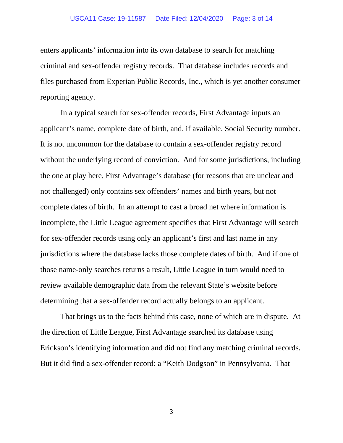## USCA11 Case: 19-11587 Date Filed: 12/04/2020 Page: 3 of 14

enters applicants' information into its own database to search for matching criminal and sex-offender registry records. That database includes records and files purchased from Experian Public Records, Inc., which is yet another consumer reporting agency.

In a typical search for sex-offender records, First Advantage inputs an applicant's name, complete date of birth, and, if available, Social Security number. It is not uncommon for the database to contain a sex-offender registry record without the underlying record of conviction. And for some jurisdictions, including the one at play here, First Advantage's database (for reasons that are unclear and not challenged) only contains sex offenders' names and birth years, but not complete dates of birth. In an attempt to cast a broad net where information is incomplete, the Little League agreement specifies that First Advantage will search for sex-offender records using only an applicant's first and last name in any jurisdictions where the database lacks those complete dates of birth. And if one of those name-only searches returns a result, Little League in turn would need to review available demographic data from the relevant State's website before determining that a sex-offender record actually belongs to an applicant.

That brings us to the facts behind this case, none of which are in dispute. At the direction of Little League, First Advantage searched its database using Erickson's identifying information and did not find any matching criminal records. But it did find a sex-offender record: a "Keith Dodgson" in Pennsylvania. That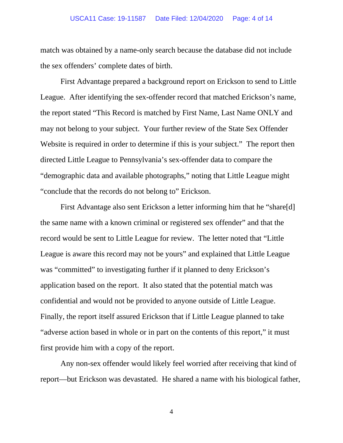## USCA11 Case: 19-11587 Date Filed: 12/04/2020 Page: 4 of 14

match was obtained by a name-only search because the database did not include the sex offenders' complete dates of birth.

First Advantage prepared a background report on Erickson to send to Little League. After identifying the sex-offender record that matched Erickson's name, the report stated "This Record is matched by First Name, Last Name ONLY and may not belong to your subject. Your further review of the State Sex Offender Website is required in order to determine if this is your subject." The report then directed Little League to Pennsylvania's sex-offender data to compare the "demographic data and available photographs," noting that Little League might "conclude that the records do not belong to" Erickson.

First Advantage also sent Erickson a letter informing him that he "share[d] the same name with a known criminal or registered sex offender" and that the record would be sent to Little League for review. The letter noted that "Little League is aware this record may not be yours" and explained that Little League was "committed" to investigating further if it planned to deny Erickson's application based on the report. It also stated that the potential match was confidential and would not be provided to anyone outside of Little League. Finally, the report itself assured Erickson that if Little League planned to take "adverse action based in whole or in part on the contents of this report," it must first provide him with a copy of the report.

Any non-sex offender would likely feel worried after receiving that kind of report—but Erickson was devastated. He shared a name with his biological father,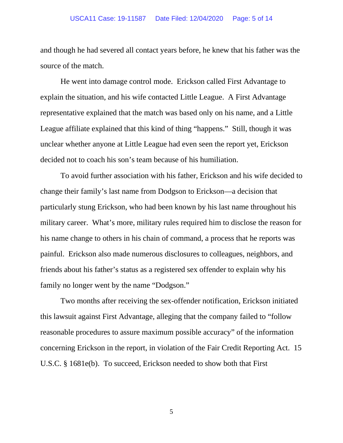## USCA11 Case: 19-11587 Date Filed: 12/04/2020 Page: 5 of 14

and though he had severed all contact years before, he knew that his father was the source of the match.

He went into damage control mode. Erickson called First Advantage to explain the situation, and his wife contacted Little League. A First Advantage representative explained that the match was based only on his name, and a Little League affiliate explained that this kind of thing "happens." Still, though it was unclear whether anyone at Little League had even seen the report yet, Erickson decided not to coach his son's team because of his humiliation.

To avoid further association with his father, Erickson and his wife decided to change their family's last name from Dodgson to Erickson—a decision that particularly stung Erickson, who had been known by his last name throughout his military career. What's more, military rules required him to disclose the reason for his name change to others in his chain of command, a process that he reports was painful. Erickson also made numerous disclosures to colleagues, neighbors, and friends about his father's status as a registered sex offender to explain why his family no longer went by the name "Dodgson."

Two months after receiving the sex-offender notification, Erickson initiated this lawsuit against First Advantage, alleging that the company failed to "follow reasonable procedures to assure maximum possible accuracy" of the information concerning Erickson in the report, in violation of the Fair Credit Reporting Act. 15 U.S.C. § 1681e(b). To succeed, Erickson needed to show both that First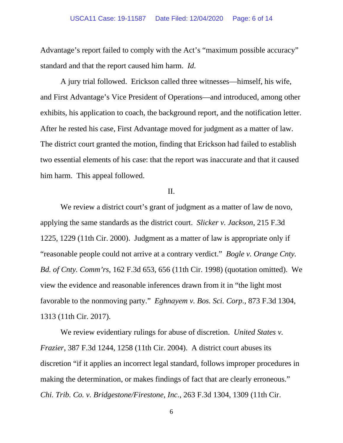## USCA11 Case: 19-11587 Date Filed: 12/04/2020 Page: 6 of 14

Advantage's report failed to comply with the Act's "maximum possible accuracy" standard and that the report caused him harm. *Id.* 

A jury trial followed. Erickson called three witnesses—himself, his wife, and First Advantage's Vice President of Operations—and introduced, among other exhibits, his application to coach, the background report, and the notification letter. After he rested his case, First Advantage moved for judgment as a matter of law. The district court granted the motion, finding that Erickson had failed to establish two essential elements of his case: that the report was inaccurate and that it caused him harm. This appeal followed.

## II.

We review a district court's grant of judgment as a matter of law de novo, applying the same standards as the district court. *Slicker v. Jackson*, 215 F.3d 1225, 1229 (11th Cir. 2000). Judgment as a matter of law is appropriate only if "reasonable people could not arrive at a contrary verdict." *Bogle v. Orange Cnty. Bd. of Cnty. Comm'rs*, 162 F.3d 653, 656 (11th Cir. 1998) (quotation omitted). We view the evidence and reasonable inferences drawn from it in "the light most favorable to the nonmoving party." *Eghnayem v. Bos. Sci. Corp.*, 873 F.3d 1304, 1313 (11th Cir. 2017).

We review evidentiary rulings for abuse of discretion. *United States v. Frazier*, 387 F.3d 1244, 1258 (11th Cir. 2004). A district court abuses its discretion "if it applies an incorrect legal standard, follows improper procedures in making the determination, or makes findings of fact that are clearly erroneous." *Chi. Trib. Co. v. Bridgestone/Firestone, Inc.*, 263 F.3d 1304, 1309 (11th Cir.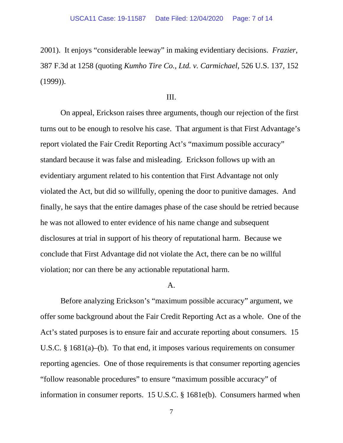2001). It enjoys "considerable leeway" in making evidentiary decisions. *Frazier*, 387 F.3d at 1258 (quoting *Kumho Tire Co., Ltd. v. Carmichael*, 526 U.S. 137, 152 (1999)).

## III.

On appeal, Erickson raises three arguments, though our rejection of the first turns out to be enough to resolve his case. That argument is that First Advantage's report violated the Fair Credit Reporting Act's "maximum possible accuracy" standard because it was false and misleading. Erickson follows up with an evidentiary argument related to his contention that First Advantage not only violated the Act, but did so willfully, opening the door to punitive damages. And finally, he says that the entire damages phase of the case should be retried because he was not allowed to enter evidence of his name change and subsequent disclosures at trial in support of his theory of reputational harm. Because we conclude that First Advantage did not violate the Act, there can be no willful violation; nor can there be any actionable reputational harm.

#### A.

Before analyzing Erickson's "maximum possible accuracy" argument, we offer some background about the Fair Credit Reporting Act as a whole. One of the Act's stated purposes is to ensure fair and accurate reporting about consumers. 15 U.S.C. § 1681(a)–(b). To that end, it imposes various requirements on consumer reporting agencies. One of those requirements is that consumer reporting agencies "follow reasonable procedures" to ensure "maximum possible accuracy" of information in consumer reports. 15 U.S.C. § 1681e(b). Consumers harmed when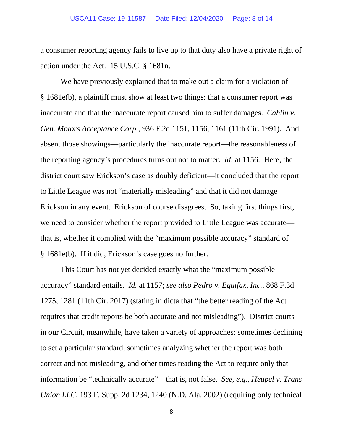a consumer reporting agency fails to live up to that duty also have a private right of action under the Act. 15 U.S.C. § 1681n.

We have previously explained that to make out a claim for a violation of § 1681e(b), a plaintiff must show at least two things: that a consumer report was inaccurate and that the inaccurate report caused him to suffer damages. *Cahlin v. Gen. Motors Acceptance Corp.*, 936 F.2d 1151, 1156, 1161 (11th Cir. 1991). And absent those showings—particularly the inaccurate report—the reasonableness of the reporting agency's procedures turns out not to matter. *Id*. at 1156. Here, the district court saw Erickson's case as doubly deficient—it concluded that the report to Little League was not "materially misleading" and that it did not damage Erickson in any event. Erickson of course disagrees. So, taking first things first, we need to consider whether the report provided to Little League was accurate that is, whether it complied with the "maximum possible accuracy" standard of § 1681e(b). If it did, Erickson's case goes no further.

This Court has not yet decided exactly what the "maximum possible accuracy" standard entails. *Id.* at 1157; *see also Pedro v. Equifax, Inc.*, 868 F.3d 1275, 1281 (11th Cir. 2017) (stating in dicta that "the better reading of the Act requires that credit reports be both accurate and not misleading"). District courts in our Circuit, meanwhile, have taken a variety of approaches: sometimes declining to set a particular standard, sometimes analyzing whether the report was both correct and not misleading, and other times reading the Act to require only that information be "technically accurate"—that is, not false. *See, e.g.*, *Heupel v. Trans Union LLC*, 193 F. Supp. 2d 1234, 1240 (N.D. Ala. 2002) (requiring only technical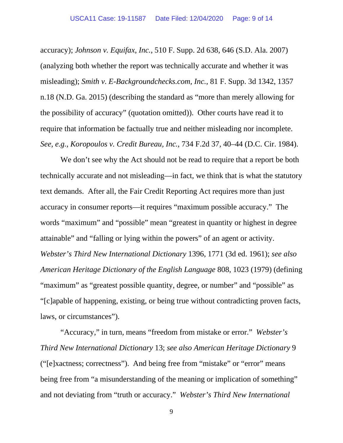accuracy); *Johnson v. Equifax, Inc.*, 510 F. Supp. 2d 638, 646 (S.D. Ala. 2007) (analyzing both whether the report was technically accurate and whether it was misleading); *Smith v. E-Backgroundchecks.com, Inc.*, 81 F. Supp. 3d 1342, 1357 n.18 (N.D. Ga. 2015) (describing the standard as "more than merely allowing for the possibility of accuracy" (quotation omitted)). Other courts have read it to require that information be factually true and neither misleading nor incomplete. *See, e.g.*, *Koropoulos v. Credit Bureau, Inc.*, 734 F.2d 37, 40–44 (D.C. Cir. 1984).

We don't see why the Act should not be read to require that a report be both technically accurate and not misleading—in fact, we think that is what the statutory text demands. After all, the Fair Credit Reporting Act requires more than just accuracy in consumer reports—it requires "maximum possible accuracy." The words "maximum" and "possible" mean "greatest in quantity or highest in degree attainable" and "falling or lying within the powers" of an agent or activity. *Webster's Third New International Dictionary* 1396, 1771 (3d ed. 1961); *see also American Heritage Dictionary of the English Language* 808, 1023 (1979) (defining "maximum" as "greatest possible quantity, degree, or number" and "possible" as "[c]apable of happening, existing, or being true without contradicting proven facts, laws, or circumstances").

"Accuracy," in turn, means "freedom from mistake or error." *Webster's Third New International Dictionary* 13; *see also American Heritage Dictionary* 9 ("[e]xactness; correctness"). And being free from "mistake" or "error" means being free from "a misunderstanding of the meaning or implication of something" and not deviating from "truth or accuracy." *Webster's Third New International*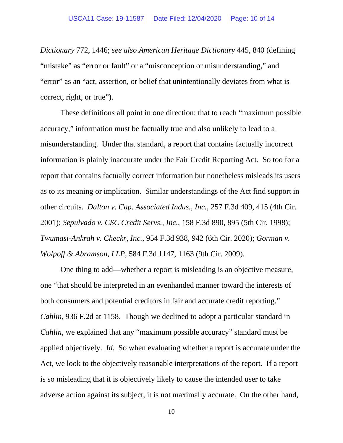*Dictionary* 772, 1446; *see also American Heritage Dictionary* 445, 840 (defining "mistake" as "error or fault" or a "misconception or misunderstanding," and "error" as an "act, assertion, or belief that unintentionally deviates from what is correct, right, or true").

These definitions all point in one direction: that to reach "maximum possible accuracy," information must be factually true and also unlikely to lead to a misunderstanding. Under that standard, a report that contains factually incorrect information is plainly inaccurate under the Fair Credit Reporting Act. So too for a report that contains factually correct information but nonetheless misleads its users as to its meaning or implication. Similar understandings of the Act find support in other circuits. *Dalton v. Cap. Associated Indus., Inc.*, 257 F.3d 409, 415 (4th Cir. 2001); *Sepulvado v. CSC Credit Servs., Inc.*, 158 F.3d 890, 895 (5th Cir. 1998); *Twumasi-Ankrah v. Checkr, Inc.*, 954 F.3d 938, 942 (6th Cir. 2020); *Gorman v. Wolpoff & Abramson, LLP*, 584 F.3d 1147, 1163 (9th Cir. 2009).

One thing to add—whether a report is misleading is an objective measure, one "that should be interpreted in an evenhanded manner toward the interests of both consumers and potential creditors in fair and accurate credit reporting." *Cahlin*, 936 F.2d at 1158. Though we declined to adopt a particular standard in *Cahlin*, we explained that any "maximum possible accuracy" standard must be applied objectively. *Id.* So when evaluating whether a report is accurate under the Act, we look to the objectively reasonable interpretations of the report. If a report is so misleading that it is objectively likely to cause the intended user to take adverse action against its subject, it is not maximally accurate. On the other hand,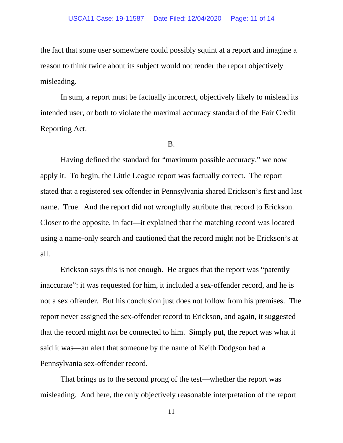the fact that some user somewhere could possibly squint at a report and imagine a reason to think twice about its subject would not render the report objectively misleading.

In sum, a report must be factually incorrect, objectively likely to mislead its intended user, or both to violate the maximal accuracy standard of the Fair Credit Reporting Act.

## B.

Having defined the standard for "maximum possible accuracy," we now apply it. To begin, the Little League report was factually correct. The report stated that a registered sex offender in Pennsylvania shared Erickson's first and last name. True. And the report did not wrongfully attribute that record to Erickson. Closer to the opposite, in fact—it explained that the matching record was located using a name-only search and cautioned that the record might not be Erickson's at all.

Erickson says this is not enough. He argues that the report was "patently inaccurate": it was requested for him, it included a sex-offender record, and he is not a sex offender. But his conclusion just does not follow from his premises. The report never assigned the sex-offender record to Erickson, and again, it suggested that the record might *not* be connected to him. Simply put, the report was what it said it was—an alert that someone by the name of Keith Dodgson had a Pennsylvania sex-offender record.

That brings us to the second prong of the test—whether the report was misleading. And here, the only objectively reasonable interpretation of the report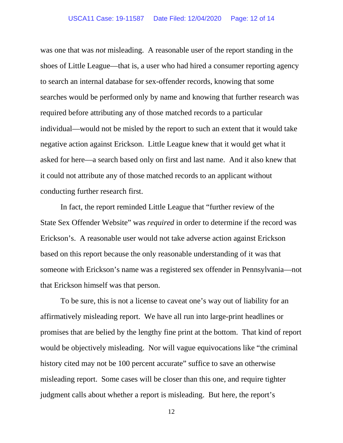was one that was *not* misleading. A reasonable user of the report standing in the shoes of Little League—that is, a user who had hired a consumer reporting agency to search an internal database for sex-offender records, knowing that some searches would be performed only by name and knowing that further research was required before attributing any of those matched records to a particular individual—would not be misled by the report to such an extent that it would take negative action against Erickson. Little League knew that it would get what it asked for here—a search based only on first and last name. And it also knew that it could not attribute any of those matched records to an applicant without conducting further research first.

In fact, the report reminded Little League that "further review of the State Sex Offender Website" was *required* in order to determine if the record was Erickson's. A reasonable user would not take adverse action against Erickson based on this report because the only reasonable understanding of it was that someone with Erickson's name was a registered sex offender in Pennsylvania—not that Erickson himself was that person.

To be sure, this is not a license to caveat one's way out of liability for an affirmatively misleading report. We have all run into large-print headlines or promises that are belied by the lengthy fine print at the bottom. That kind of report would be objectively misleading. Nor will vague equivocations like "the criminal history cited may not be 100 percent accurate" suffice to save an otherwise misleading report. Some cases will be closer than this one, and require tighter judgment calls about whether a report is misleading. But here, the report's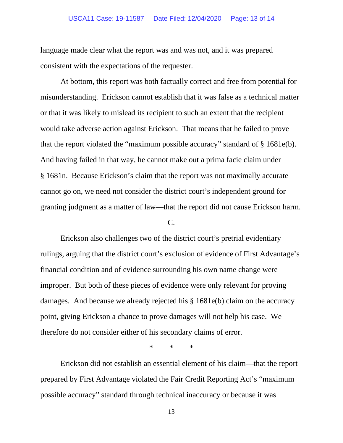language made clear what the report was and was not, and it was prepared consistent with the expectations of the requester.

At bottom, this report was both factually correct and free from potential for misunderstanding. Erickson cannot establish that it was false as a technical matter or that it was likely to mislead its recipient to such an extent that the recipient would take adverse action against Erickson. That means that he failed to prove that the report violated the "maximum possible accuracy" standard of § 1681e(b). And having failed in that way, he cannot make out a prima facie claim under § 1681n. Because Erickson's claim that the report was not maximally accurate cannot go on, we need not consider the district court's independent ground for granting judgment as a matter of law—that the report did not cause Erickson harm.

## C.

Erickson also challenges two of the district court's pretrial evidentiary rulings, arguing that the district court's exclusion of evidence of First Advantage's financial condition and of evidence surrounding his own name change were improper. But both of these pieces of evidence were only relevant for proving damages. And because we already rejected his § 1681e(b) claim on the accuracy point, giving Erickson a chance to prove damages will not help his case. We therefore do not consider either of his secondary claims of error.

\* \* \*

Erickson did not establish an essential element of his claim—that the report prepared by First Advantage violated the Fair Credit Reporting Act's "maximum possible accuracy" standard through technical inaccuracy or because it was